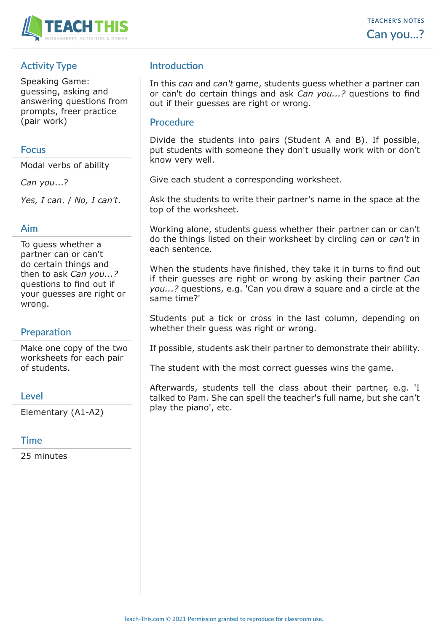

# **Activity Type**

Speaking Game: guessing, asking and answering questions from prompts, freer practice (pair work)

### **Focus**

Modal verbs of ability

*Can you*...?

*Yes, I can*. / *No, I can't*.

### **Aim**

To guess whether a partner can or can't do certain things and then to ask *Can you...?* questions to find out if your guesses are right or wrong.

## **Preparation**

Make one copy of the two worksheets for each pair of students.

#### **Level**

Elementary (A1-A2)

## **Time**

25 minutes

# **Introduction**

In this *can* and *can't* game, students guess whether a partner can or can't do certain things and ask *Can you...?* questions to find out if their guesses are right or wrong.

### **Procedure**

Divide the students into pairs (Student A and B). If possible, put students with someone they don't usually work with or don't know very well.

Give each student a corresponding worksheet.

Ask the students to write their partner's name in the space at the top of the worksheet.

Working alone, students guess whether their partner can or can't do the things listed on their worksheet by circling *can* or *can't* in each sentence.

When the students have finished, they take it in turns to find out if their guesses are right or wrong by asking their partner *Can you...?* questions, e.g. 'Can you draw a square and a circle at the same time?'

Students put a tick or cross in the last column, depending on whether their guess was right or wrong.

If possible, students ask their partner to demonstrate their ability.

The student with the most correct guesses wins the game.

Afterwards, students tell the class about their partner, e.g. 'I talked to Pam. She can spell the teacher's full name, but she can't play the piano', etc.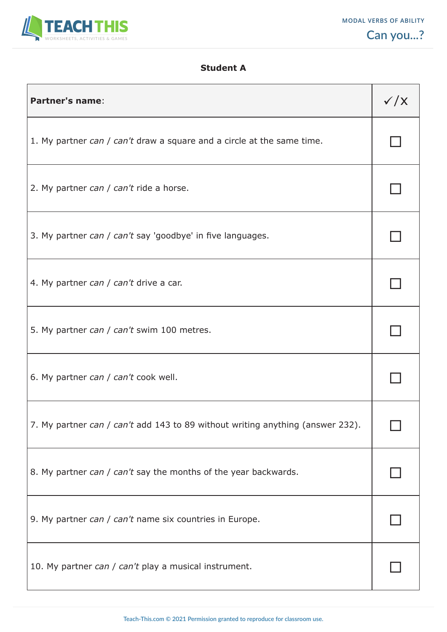

# **Student A**

| <b>Partner's name:</b>                                                         | $\checkmark$ / $\checkmark$ |
|--------------------------------------------------------------------------------|-----------------------------|
| 1. My partner can / can't draw a square and a circle at the same time.         |                             |
| 2. My partner can / can't ride a horse.                                        |                             |
| 3. My partner can / can't say 'goodbye' in five languages.                     |                             |
| 4. My partner can / can't drive a car.                                         |                             |
| 5. My partner can / can't swim 100 metres.                                     |                             |
| 6. My partner can / can't cook well.                                           |                             |
| 7. My partner can / can't add 143 to 89 without writing anything (answer 232). |                             |
| 8. My partner can / can't say the months of the year backwards.                |                             |
| 9. My partner can / can't name six countries in Europe.                        |                             |
| 10. My partner can / can't play a musical instrument.                          |                             |